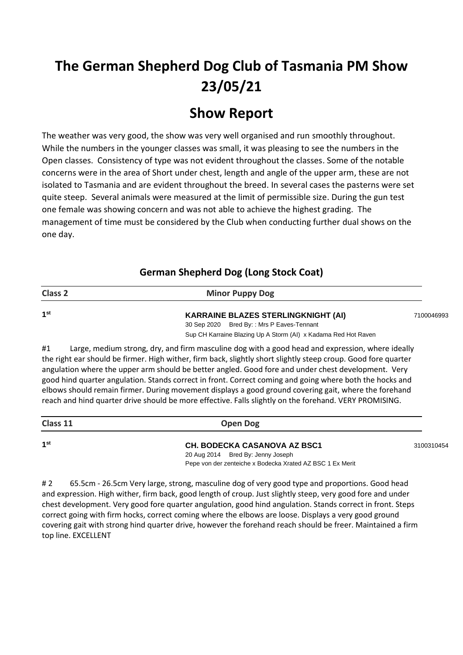# **The German Shepherd Dog Club of Tasmania PM Show 23/05/21**

# **Show Report**

The weather was very good, the show was very well organised and run smoothly throughout. While the numbers in the younger classes was small, it was pleasing to see the numbers in the Open classes. Consistency of type was not evident throughout the classes. Some of the notable concerns were in the area of Short under chest, length and angle of the upper arm, these are not isolated to Tasmania and are evident throughout the breed. In several cases the pasterns were set quite steep. Several animals were measured at the limit of permissible size. During the gun test one female was showing concern and was not able to achieve the highest grading. The management of time must be considered by the Club when conducting further dual shows on the one day.

| <b>Class 2</b>  | <b>Minor Puppy Dog</b>                                         |            |
|-----------------|----------------------------------------------------------------|------------|
| 1 <sup>st</sup> | <b>KARRAINE BLAZES STERLINGKNIGHT (AI)</b>                     | 7100046993 |
|                 | 30 Sep 2020 Bred By:: Mrs P Eaves-Tennant                      |            |
|                 | Sup CH Karraine Blazing Up A Storm (AI) x Kadama Red Hot Raven |            |

### **German Shepherd Dog (Long Stock Coat)**

#1 Large, medium strong, dry, and firm masculine dog with a good head and expression, where ideally the right ear should be firmer. High wither, firm back, slightly short slightly steep croup. Good fore quarter angulation where the upper arm should be better angled. Good fore and under chest development. Very good hind quarter angulation. Stands correct in front. Correct coming and going where both the hocks and elbows should remain firmer. During movement displays a good ground covering gait, where the forehand reach and hind quarter drive should be more effective. Falls slightly on the forehand. VERY PROMISING.

| Class 11        | <b>Open Dog</b>                     |            |
|-----------------|-------------------------------------|------------|
| 1 <sup>st</sup> | <b>CH. BODECKA CASANOVA AZ BSC1</b> | 3100310454 |
|                 |                                     |            |

20 Aug 2014 Bred By: Jenny Joseph Pepe von der zenteiche x Bodecka Xrated AZ BSC 1 Ex Merit

#2 65.5cm - 26.5cm Very large, strong, masculine dog of very good type and proportions. Good head and expression. High wither, firm back, good length of croup. Just slightly steep, very good fore and under chest development. Very good fore quarter angulation, good hind angulation. Stands correct in front. Steps correct going with firm hocks, correct coming where the elbows are loose. Displays a very good ground covering gait with strong hind quarter drive, however the forehand reach should be freer. Maintained a firm top line. EXCELLENT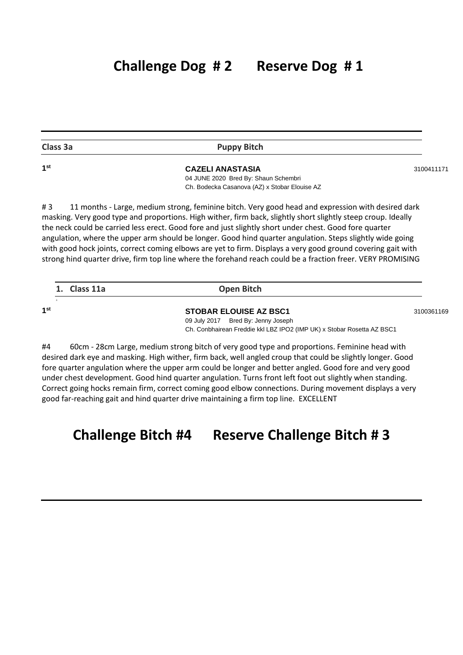| ۰.<br>г. |  |
|----------|--|
|----------|--|

### **Puppy Bitch**

**st CAZELI ANASTASIA** <sup>3100411171</sup> 04 JUNE 2020 Bred By: Shaun Schembri Ch. Bodecka Casanova (AZ) x Stobar Elouise AZ

# 3 11 months - Large, medium strong, feminine bitch. Very good head and expression with desired dark masking. Very good type and proportions. High wither, firm back, slightly short slightly steep croup. Ideally the neck could be carried less erect. Good fore and just slightly short under chest. Good fore quarter angulation, where the upper arm should be longer. Good hind quarter angulation. Steps slightly wide going with good hock joints, correct coming elbows are yet to firm. Displays a very good ground covering gait with strong hind quarter drive, firm top line where the forehand reach could be a fraction freer. VERY PROMISING

|     | 1. Class 11a | Open Bitch                                                             |            |
|-----|--------------|------------------------------------------------------------------------|------------|
| 1st |              | <b>STOBAR ELOUISE AZ BSC1</b>                                          |            |
|     |              | 09 July 2017 Bred By: Jenny Joseph                                     | 3100361169 |
|     |              | Ch. Conbhairean Freddie kkl LBZ IPO2 (IMP UK) x Stobar Rosetta AZ BSC1 |            |

#4 60cm - 28cm Large, medium strong bitch of very good type and proportions. Feminine head with desired dark eye and masking. High wither, firm back, well angled croup that could be slightly longer. Good fore quarter angulation where the upper arm could be longer and better angled. Good fore and very good under chest development. Good hind quarter angulation. Turns front left foot out slightly when standing. Correct going hocks remain firm, correct coming good elbow connections. During movement displays a very good far-reaching gait and hind quarter drive maintaining a firm top line. EXCELLENT

# **Challenge Bitch #4 Reserve Challenge Bitch # 3**

**1**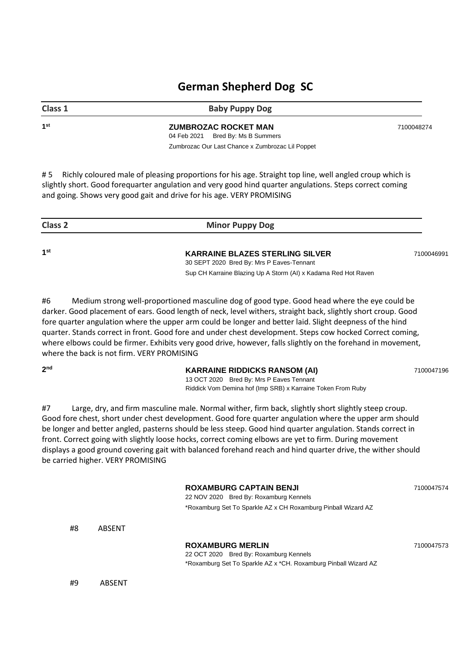# **German Shepherd Dog SC**

**Class 1 Baby Puppy Dog** 

 **ZUMBROZAC ROCKET MAN 100048274** 04 Feb 2021 Bred By: Ms B Summers Zumbrozac Our Last Chance x Zumbrozac Lil Poppet

# 5 Richly coloured male of pleasing proportions for his age. Straight top line, well angled croup which is slightly short. Good forequarter angulation and very good hind quarter angulations. Steps correct coming and going. Shows very good gait and drive for his age. VERY PROMISING

| Class 2 | <b>Minor Puppy Dog</b>                                                              |            |
|---------|-------------------------------------------------------------------------------------|------------|
| 1st     | <b>KARRAINE BLAZES STERLING SILVER</b><br>30 SEPT 2020 Bred By: Mrs P Eaves-Tennant | 7100046991 |
|         | Sup CH Karraine Blazing Up A Storm (AI) x Kadama Red Hot Raven                      |            |

#6 Medium strong well-proportioned masculine dog of good type. Good head where the eye could be darker. Good placement of ears. Good length of neck, level withers, straight back, slightly short croup. Good fore quarter angulation where the upper arm could be longer and better laid. Slight deepness of the hind quarter. Stands correct in front. Good fore and under chest development. Steps cow hocked Correct coming, where elbows could be firmer. Exhibits very good drive, however, falls slightly on the forehand in movement, where the back is not firm. VERY PROMISING

 $2<sub>nd</sub>$ 

### **KARRAINE RIDDICKS RANSOM (AI)** 7100047196

13 OCT 2020 Bred By: Mrs P Eaves Tennant Riddick Vom Demina hof (Imp SRB) x Karraine Token From Ruby

#7 Large, dry, and firm masculine male. Normal wither, firm back, slightly short slightly steep croup. Good fore chest, short under chest development. Good fore quarter angulation where the upper arm should be longer and better angled, pasterns should be less steep. Good hind quarter angulation. Stands correct in front. Correct going with slightly loose hocks, correct coming elbows are yet to firm. During movement displays a good ground covering gait with balanced forehand reach and hind quarter drive, the wither should be carried higher. VERY PROMISING

| #8 | <b>ABSENT</b> | <b>ROXAMBURG CAPTAIN BENJI</b><br>22 NOV 2020 Bred By: Roxamburg Kennels<br>*Roxamburg Set To Sparkle AZ x CH Roxamburg Pinball Wizard AZ | 7100047574 |
|----|---------------|-------------------------------------------------------------------------------------------------------------------------------------------|------------|
|    |               |                                                                                                                                           |            |
|    |               | <b>ROXAMBURG MERLIN</b><br>22 OCT 2020 Bred By: Roxamburg Kennels<br>*Roxamburg Set To Sparkle AZ x *CH. Roxamburg Pinball Wizard AZ      | 7100047573 |
| #9 | ABSENT        |                                                                                                                                           |            |

**1 st**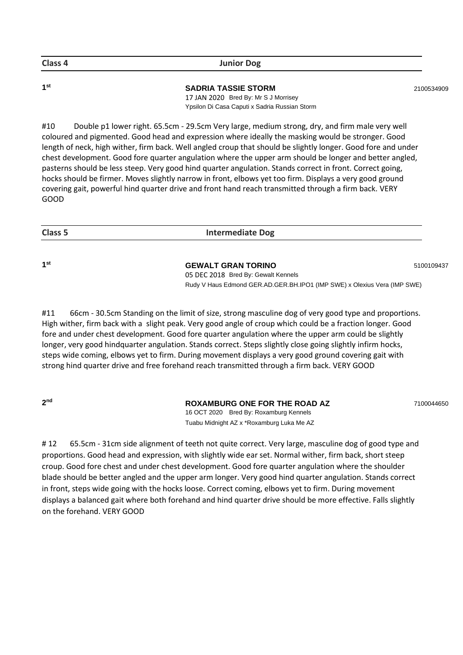| Class 4         | <b>Junior Dog</b>                                                                                                   |            |
|-----------------|---------------------------------------------------------------------------------------------------------------------|------------|
| 1 <sup>st</sup> | <b>SADRIA TASSIE STORM</b><br>17 JAN 2020 Bred By: Mr S J Morrisey<br>Ypsilon Di Casa Caputi x Sadria Russian Storm | 2100534909 |

#10 Double p1 lower right. 65.5cm - 29.5cm Very large, medium strong, dry, and firm male very well coloured and pigmented. Good head and expression where ideally the masking would be stronger. Good length of neck, high wither, firm back. Well angled croup that should be slightly longer. Good fore and under chest development. Good fore quarter angulation where the upper arm should be longer and better angled, pasterns should be less steep. Very good hind quarter angulation. Stands correct in front. Correct going, hocks should be firmer. Moves slightly narrow in front, elbows yet too firm. Displays a very good ground covering gait, powerful hind quarter drive and front hand reach transmitted through a firm back. VERY GOOD

|--|

**1**

### **SEWALT GRAN TORINO** 5100109437

05 DEC 2018 Bred By: Gewalt Kennels Rudy V Haus Edmond GER.AD.GER.BH.IPO1 (IMP SWE) x Olexius Vera (IMP SWE)

#11 66cm - 30.5cm Standing on the limit of size, strong masculine dog of very good type and proportions. High wither, firm back with a slight peak. Very good angle of croup which could be a fraction longer. Good fore and under chest development. Good fore quarter angulation where the upper arm could be slightly longer, very good hindquarter angulation. Stands correct. Steps slightly close going slightly infirm hocks, steps wide coming, elbows yet to firm. During movement displays a very good ground covering gait with strong hind quarter drive and free forehand reach transmitted through a firm back. VERY GOOD

**2 nd**

### **ROXAMBURG ONE FOR THE ROAD AZ** 7100044650

16 OCT 2020 Bred By: Roxamburg Kennels Tuabu Midnight AZ x \*Roxamburg Luka Me AZ

# 12 65.5cm - 31cm side alignment of teeth not quite correct. Very large, masculine dog of good type and proportions. Good head and expression, with slightly wide ear set. Normal wither, firm back, short steep croup. Good fore chest and under chest development. Good fore quarter angulation where the shoulder blade should be better angled and the upper arm longer. Very good hind quarter angulation. Stands correct in front, steps wide going with the hocks loose. Correct coming, elbows yet to firm. During movement displays a balanced gait where both forehand and hind quarter drive should be more effective. Falls slightly on the forehand. VERY GOOD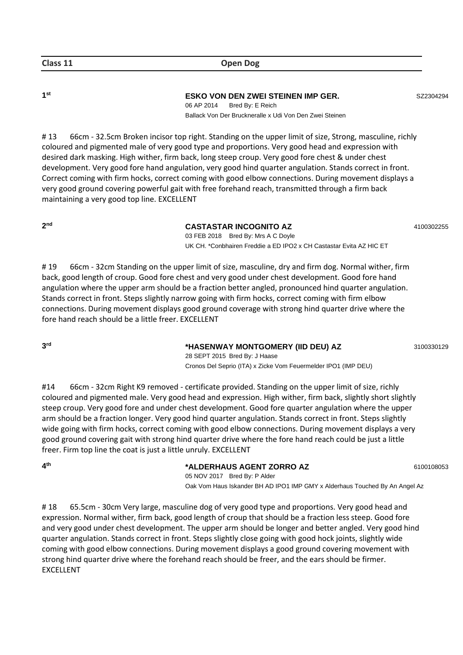**1 st**

**ESKO VON DEN ZWEI STEINEN IMP GER.** SZ2304294

06 AP 2014 Bred By: E Reich Ballack Von Der Bruckneralle x Udi Von Den Zwei Steinen

# 13 66cm - 32.5cm Broken incisor top right. Standing on the upper limit of size, Strong, masculine, richly coloured and pigmented male of very good type and proportions. Very good head and expression with desired dark masking. High wither, firm back, long steep croup. Very good fore chest & under chest development. Very good fore hand angulation, very good hind quarter angulation. Stands correct in front. Correct coming with firm hocks, correct coming with good elbow connections. During movement displays a very good ground covering powerful gait with free forehand reach, transmitted through a firm back maintaining a very good top line. EXCELLENT

**2 nd**

**CASTASTAR INCOGNITO AZ** 4100302255

03 FEB 2018 Bred By: Mrs A C Doyle UK CH. \*Conbhairen Freddie a ED IPO2 x CH Castastar Evita AZ HIC ET

# 19 66cm - 32cm Standing on the upper limit of size, masculine, dry and firm dog. Normal wither, firm back, good length of croup. Good fore chest and very good under chest development. Good fore hand angulation where the upper arm should be a fraction better angled, pronounced hind quarter angulation. Stands correct in front. Steps slightly narrow going with firm hocks, correct coming with firm elbow connections. During movement displays good ground coverage with strong hind quarter drive where the fore hand reach should be a little freer. EXCELLENT

**3 rd**

 **\*HASENWAY MONTGOMERY (IID DEU) AZ** 3100330129

28 SEPT 2015 Bred By: J Haase Cronos Del Seprio (ITA) x Zicke Vom Feuermelder IPO1 (IMP DEU)

#14 66cm - 32cm Right K9 removed - certificate provided. Standing on the upper limit of size, richly coloured and pigmented male. Very good head and expression. High wither, firm back, slightly short slightly steep croup. Very good fore and under chest development. Good fore quarter angulation where the upper arm should be a fraction longer. Very good hind quarter angulation. Stands correct in front. Steps slightly wide going with firm hocks, correct coming with good elbow connections. During movement displays a very good ground covering gait with strong hind quarter drive where the fore hand reach could be just a little freer. Firm top line the coat is just a little unruly. EXCELLENT

**4 th**

 **\*ALDERHAUS AGENT ZORRO AZ** 6100108053 05 NOV 2017 Bred By: P Alder

Oak Vom Haus Iskander BH AD IPO1 IMP GMY x Alderhaus Touched By An Angel Az

#18 65.5cm - 30cm Very large, masculine dog of very good type and proportions. Very good head and expression. Normal wither, firm back, good length of croup that should be a fraction less steep. Good fore and very good under chest development. The upper arm should be longer and better angled. Very good hind quarter angulation. Stands correct in front. Steps slightly close going with good hock joints, slightly wide coming with good elbow connections. During movement displays a good ground covering movement with strong hind quarter drive where the forehand reach should be freer, and the ears should be firmer. EXCELLENT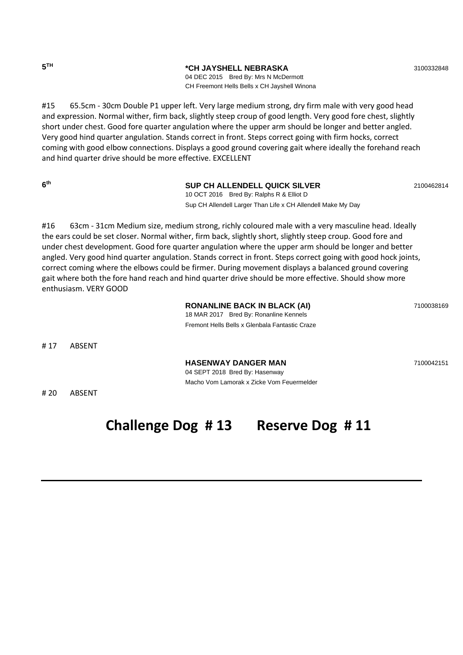**5**

**TH \*CH JAYSHELL NEBRASKA** <sup>3100332848</sup>

04 DEC 2015 Bred By: Mrs N McDermott CH Freemont Hells Bells x CH Jayshell Winona

#15 65.5cm - 30cm Double P1 upper left. Very large medium strong, dry firm male with very good head and expression. Normal wither, firm back, slightly steep croup of good length. Very good fore chest, slightly short under chest. Good fore quarter angulation where the upper arm should be longer and better angled. Very good hind quarter angulation. Stands correct in front. Steps correct going with firm hocks, correct coming with good elbow connections. Displays a good ground covering gait where ideally the forehand reach and hind quarter drive should be more effective. EXCELLENT

**6 th**

### **SUP CH ALLENDELL QUICK SILVER** 2100462814

10 OCT 2016 Bred By: Ralphs R & Elliot D Sup CH Allendell Larger Than Life x CH Allendell Make My Day

#16 63cm - 31cm Medium size, medium strong, richly coloured male with a very masculine head. Ideally the ears could be set closer. Normal wither, firm back, slightly short, slightly steep croup. Good fore and under chest development. Good fore quarter angulation where the upper arm should be longer and better angled. Very good hind quarter angulation. Stands correct in front. Steps correct going with good hock joints, correct coming where the elbows could be firmer. During movement displays a balanced ground covering gait where both the fore hand reach and hind quarter drive should be more effective. Should show more enthusiasm. VERY GOOD

**RONANLINE BACK IN BLACK (AI)** 7100038169 18 MAR 2017 Bred By: Ronanline Kennels Fremont Hells Bells x Glenbala Fantastic Craze

Macho Vom Lamorak x Zicke Vom Feuermelder

# 17 ABSENT

**HASENWAY DANGER MAN** 7100042151 04 SEPT 2018 Bred By: Hasenway

# 20 ABSENT

# **Challenge Dog # 13 Reserve Dog # 11**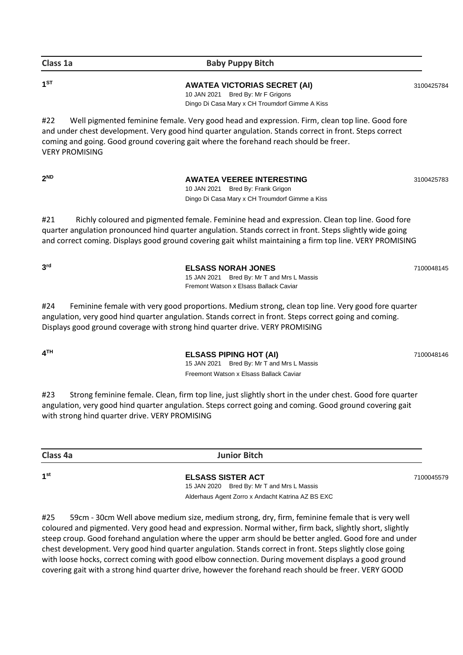### **Class 1a Baby Puppy Bitch**

**1 ST**

### **AWATEA VICTORIAS SECRET (AI)** 3100425784

10 JAN 2021 Bred By: Mr F Grigons Dingo Di Casa Mary x CH Troumdorf Gimme A Kiss

#22 Well pigmented feminine female. Very good head and expression. Firm, clean top line. Good fore and under chest development. Very good hind quarter angulation. Stands correct in front. Steps correct coming and going. Good ground covering gait where the forehand reach should be freer. VERY PROMISING

**2**

**AWATEA VEEREE INTERESTING** 3100425783 10 JAN 2021 Bred By: Frank Grigon Dingo Di Casa Mary x CH Troumdorf Gimme a Kiss

#21 Richly coloured and pigmented female. Feminine head and expression. Clean top line. Good fore quarter angulation pronounced hind quarter angulation. Stands correct in front. Steps slightly wide going and correct coming. Displays good ground covering gait whilst maintaining a firm top line. VERY PROMISING

**3 rd**

 **ELSASS NORAH JONES** 7100048145 15 JAN 2021 Bred By: Mr T and Mrs L Massis Fremont Watson x Elsass Ballack Caviar

#24 Feminine female with very good proportions. Medium strong, clean top line. Very good fore quarter angulation, very good hind quarter angulation. Stands correct in front. Steps correct going and coming. Displays good ground coverage with strong hind quarter drive. VERY PROMISING

**4**

**THE ELSASS PIPING HOT (AI)** 7100048146 15 JAN 2021 Bred By: Mr T and Mrs L Massis Freemont Watson x Elsass Ballack Caviar

#23 Strong feminine female. Clean, firm top line, just slightly short in the under chest. Good fore quarter angulation, very good hind quarter angulation. Steps correct going and coming. Good ground covering gait with strong hind quarter drive. VERY PROMISING

**Class 4a Junior Bitch**

**1 st**

**ELSASS SISTER ACT** 7100045579 15 JAN 2020 Bred By: Mr T and Mrs L Massis Alderhaus Agent Zorro x Andacht Katrina AZ BS EXC

#25 59cm - 30cm Well above medium size, medium strong, dry, firm, feminine female that is very well coloured and pigmented. Very good head and expression. Normal wither, firm back, slightly short, slightly steep croup. Good forehand angulation where the upper arm should be better angled. Good fore and under chest development. Very good hind quarter angulation. Stands correct in front. Steps slightly close going with loose hocks, correct coming with good elbow connection. During movement displays a good ground covering gait with a strong hind quarter drive, however the forehand reach should be freer. VERY GOOD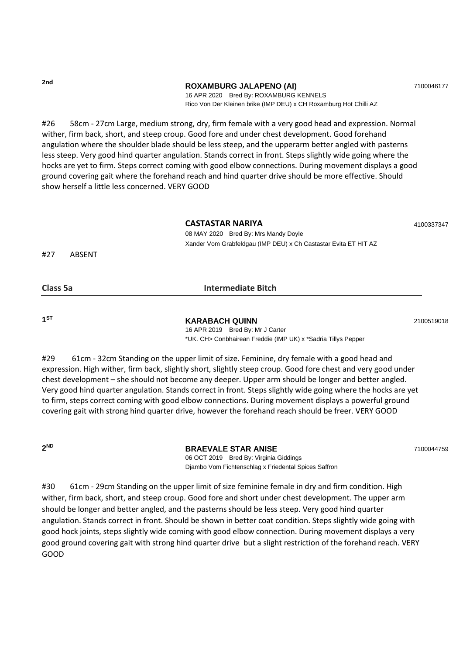**2nd**

#### **ROXAMBURG JALAPENO (AI)** 7100046177

16 APR 2020 Bred By: ROXAMBURG KENNELS Rico Von Der Kleinen brike (IMP DEU) x CH Roxamburg Hot Chilli AZ

#26 58cm - 27cm Large, medium strong, dry, firm female with a very good head and expression. Normal wither, firm back, short, and steep croup. Good fore and under chest development. Good forehand angulation where the shoulder blade should be less steep, and the upperarm better angled with pasterns less steep. Very good hind quarter angulation. Stands correct in front. Steps slightly wide going where the hocks are yet to firm. Steps correct coming with good elbow connections. During movement displays a good ground covering gait where the forehand reach and hind quarter drive should be more effective. Should show herself a little less concerned. VERY GOOD

#### **CASTASTAR NARIYA** <sup>4100337347</sup>

08 MAY 2020 Bred By: Mrs Mandy Doyle Xander Vom Grabfeldgau (IMP DEU) x Ch Castastar Evita ET HIT AZ

#27 ABSENT

| Class 5a<br><b>Intermediate Bitch</b> |
|---------------------------------------|
|---------------------------------------|

**1 ST**

**KARABACH QUINN** 2100519018

16 APR 2019 Bred By: Mr J Carter \*UK. CH> Conbhairean Freddie (IMP UK) x \*Sadria Tillys Pepper

#29 61cm - 32cm Standing on the upper limit of size. Feminine, dry female with a good head and expression. High wither, firm back, slightly short, slightly steep croup. Good fore chest and very good under chest development – she should not become any deeper. Upper arm should be longer and better angled. Very good hind quarter angulation. Stands correct in front. Steps slightly wide going where the hocks are yet to firm, steps correct coming with good elbow connections. During movement displays a powerful ground covering gait with strong hind quarter drive, however the forehand reach should be freer. VERY GOOD

**2**

**ND BRAEVALE STAR ANISE** <sup>7100044759</sup>

06 OCT 2019 Bred By: Virginia Giddings Djambo Vom Fichtenschlag x Friedental Spices Saffron

#30 61cm - 29cm Standing on the upper limit of size feminine female in dry and firm condition. High wither, firm back, short, and steep croup. Good fore and short under chest development. The upper arm should be longer and better angled, and the pasterns should be less steep. Very good hind quarter angulation. Stands correct in front. Should be shown in better coat condition. Steps slightly wide going with good hock joints, steps slightly wide coming with good elbow connection. During movement displays a very good ground covering gait with strong hind quarter drive but a slight restriction of the forehand reach. VERY GOOD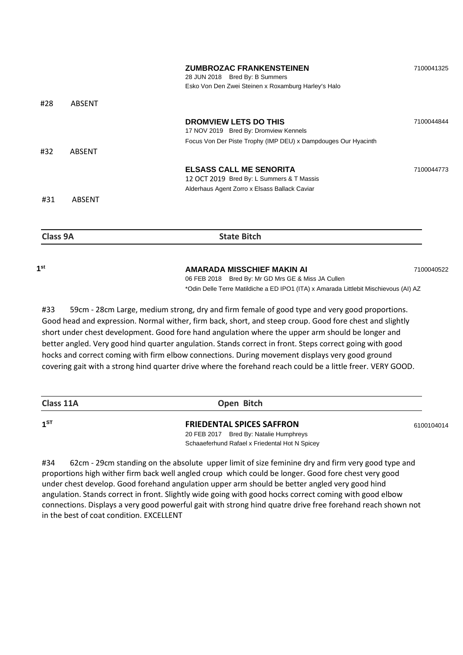| 1 <sup>st</sup> |               | AMARADA MISSCHIEF MAKIN AI                                                                                                   | 7100040522 |
|-----------------|---------------|------------------------------------------------------------------------------------------------------------------------------|------------|
| Class 9A        |               | <b>State Bitch</b>                                                                                                           |            |
| #31             | ABSENT        |                                                                                                                              |            |
|                 |               | <b>ELSASS CALL ME SENORITA</b><br>12 OCT 2019 Bred By: L Summers & T Massis<br>Alderhaus Agent Zorro x Elsass Ballack Caviar | 7100044773 |
| #32             | <b>ABSENT</b> |                                                                                                                              |            |
|                 |               | Focus Von Der Piste Trophy (IMP DEU) x Dampdouges Our Hyacinth                                                               |            |
|                 |               | DROMVIEW LETS DO THIS<br>17 NOV 2019 Bred By: Dromview Kennels                                                               | 7100044844 |
| #28             | ABSENT        |                                                                                                                              |            |
|                 |               | Esko Von Den Zwei Steinen x Roxamburg Harley's Halo                                                                          |            |
|                 |               | <b>ZUMBROZAC FRANKENSTEINEN</b><br>28 JUN 2018 Bred By: B Summers                                                            | 7100041325 |

06 FEB 2018 Bred By: Mr GD Mrs GE & Miss JA Cullen

\*Odin Delle Terre Matildiche a ED IPO1 (ITA) x Amarada Littlebit Mischievous (AI) AZ

Good head and expression. Normal wither, firm back, short, and steep croup. Good fore chest and slightly short under chest development. Good fore hand angulation where the upper arm should be longer and better angled. Very good hind quarter angulation. Stands correct in front. Steps correct going with good hocks and correct coming with firm elbow connections. During movement displays very good ground covering gait with a strong hind quarter drive where the forehand reach could be a little freer. VERY GOOD.

#33 59cm - 28cm Large, medium strong, dry and firm female of good type and very good proportions.

| Class 11A       | Open Bitch                                     |            |
|-----------------|------------------------------------------------|------------|
| 1 <sup>ST</sup> | <b>FRIEDENTAL SPICES SAFFRON</b>               | 6100104014 |
|                 | 20 FEB 2017 Bred By: Natalie Humphreys         |            |
|                 | Schaaeferhund Rafael x Friedental Hot N Spicey |            |

#34 62cm - 29cm standing on the absolute upper limit of size feminine dry and firm very good type and proportions high wither firm back well angled croup which could be longer. Good fore chest very good under chest develop. Good forehand angulation upper arm should be better angled very good hind angulation. Stands correct in front. Slightly wide going with good hocks correct coming with good elbow connections. Displays a very good powerful gait with strong hind quatre drive free forehand reach shown not in the best of coat condition. EXCELLENT